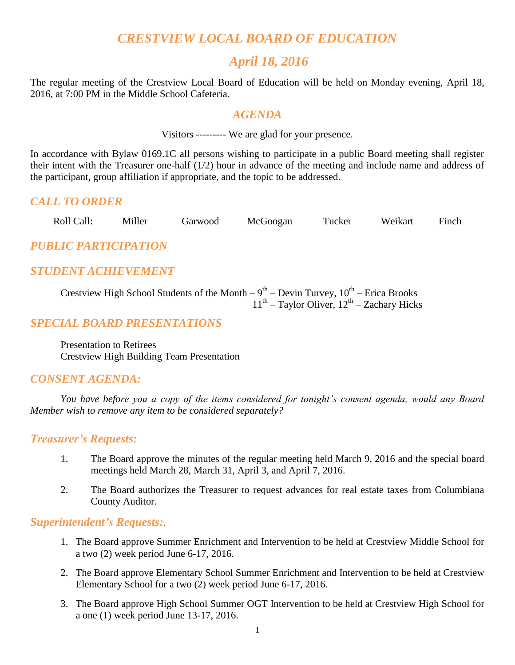# *CRESTVIEW LOCAL BOARD OF EDUCATION*

# *April 18, 2016*

The regular meeting of the Crestview Local Board of Education will be held on Monday evening, April 18, 2016, at 7:00 PM in the Middle School Cafeteria.

#### *AGENDA*

Visitors --------- We are glad for your presence.

In accordance with Bylaw 0169.1C all persons wishing to participate in a public Board meeting shall register their intent with the Treasurer one-half (1/2) hour in advance of the meeting and include name and address of the participant, group affiliation if appropriate, and the topic to be addressed.

#### *CALL TO ORDER*

| Roll Call: | Miller | Garwood | McGoogan | Tucker | Weikart | Finch |
|------------|--------|---------|----------|--------|---------|-------|
|            |        |         |          |        |         |       |

*PUBLIC PARTICIPATION*

# *STUDENT ACHIEVEMENT*

Crestview High School Students of the Month  $-9<sup>th</sup> -$  Devin Turvey,  $10<sup>th</sup> -$  Erica Brooks  $11<sup>th</sup>$  – Taylor Oliver,  $12<sup>th</sup>$  – Zachary Hicks

## *SPECIAL BOARD PRESENTATIONS*

Presentation to Retirees Crestview High Building Team Presentation

## *CONSENT AGENDA:*

*You have before you a copy of the items considered for tonight's consent agenda, would any Board Member wish to remove any item to be considered separately?*

### *Treasurer's Requests:*

- 1. The Board approve the minutes of the regular meeting held March 9, 2016 and the special board meetings held March 28, March 31, April 3, and April 7, 2016.
- 2. The Board authorizes the Treasurer to request advances for real estate taxes from Columbiana County Auditor.

#### *Superintendent's Requests:*.

- 1. The Board approve Summer Enrichment and Intervention to be held at Crestview Middle School for a two (2) week period June 6-17, 2016.
- 2. The Board approve Elementary School Summer Enrichment and Intervention to be held at Crestview Elementary School for a two (2) week period June 6-17, 2016.
- 3. The Board approve High School Summer OGT Intervention to be held at Crestview High School for a one (1) week period June 13-17, 2016.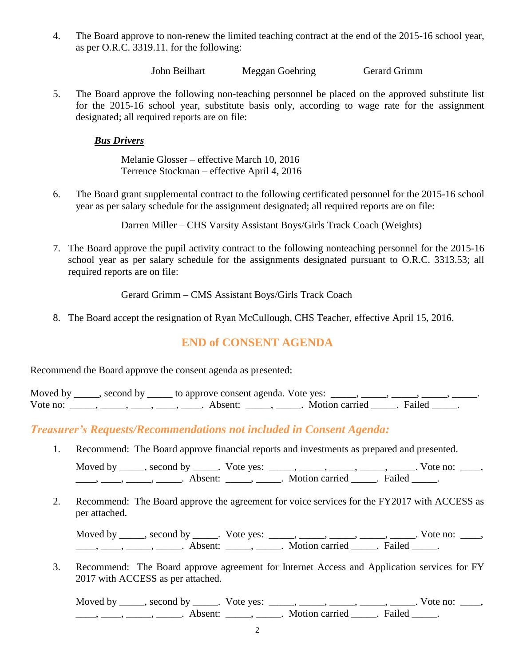4. The Board approve to non-renew the limited teaching contract at the end of the 2015-16 school year, as per O.R.C. 3319.11. for the following:

John Beilhart Meggan Goehring Gerard Grimm

5. The Board approve the following non-teaching personnel be placed on the approved substitute list for the 2015-16 school year, substitute basis only, according to wage rate for the assignment designated; all required reports are on file:

*Bus Drivers*

Melanie Glosser – effective March 10, 2016 Terrence Stockman – effective April 4, 2016

6. The Board grant supplemental contract to the following certificated personnel for the 2015-16 school year as per salary schedule for the assignment designated; all required reports are on file:

Darren Miller – CHS Varsity Assistant Boys/Girls Track Coach (Weights)

7. The Board approve the pupil activity contract to the following nonteaching personnel for the 2015-16 school year as per salary schedule for the assignments designated pursuant to O.R.C. 3313.53; all required reports are on file:

Gerard Grimm – CMS Assistant Boys/Girls Track Coach

8. The Board accept the resignation of Ryan McCullough, CHS Teacher, effective April 15, 2016.

# **END of CONSENT AGENDA**

Recommend the Board approve the consent agenda as presented:

Moved by \_\_\_\_, second by \_\_\_\_\_ to approve consent agenda. Vote yes:  $\_\_\_\_\_\_\_\_\_\_\_\_\_\_\_\_$ Vote no: \_\_\_\_\_, \_\_\_\_\_, \_\_\_\_, \_\_\_\_, \_\_\_\_. Absent: \_\_\_\_\_, \_\_\_\_\_. Motion carried \_\_\_\_\_. Failed \_\_\_\_\_.

*Treasurer's Requests/Recommendations not included in Consent Agenda:*

1. Recommend: The Board approve financial reports and investments as prepared and presented.

Moved by \_\_\_\_\_, second by \_\_\_\_\_. Vote yes: \_\_\_\_\_, \_\_\_\_\_, \_\_\_\_\_, \_\_\_\_\_, \_\_\_\_\_. Vote no: \_\_\_\_, \_\_\_\_, \_\_\_\_\_, \_\_\_\_\_\_\_. Absent: \_\_\_\_\_, \_\_\_\_\_. Motion carried \_\_\_\_\_. Failed \_\_\_\_\_.

2. Recommend: The Board approve the agreement for voice services for the FY2017 with ACCESS as per attached.

Moved by \_\_\_\_\_, second by \_\_\_\_\_. Vote yes:  $\_\_\_\_\_\_\_\_\_\_\_\_\_\_\_$  \_\_\_\_\_, \_\_\_\_\_, \_\_\_\_. Vote no:  $\_\_\_\_\_\$ \_\_\_\_\_, \_\_\_\_\_\_, \_\_\_\_\_\_\_. Absent: \_\_\_\_\_\_, \_\_\_\_\_\_. Motion carried \_\_\_\_\_\_. Failed \_\_\_\_\_.

3. Recommend: The Board approve agreement for Internet Access and Application services for FY 2017 with ACCESS as per attached.

Moved by \_\_\_\_\_, second by \_\_\_\_\_. Vote yes:  $\_\_\_\_\_\_\_\_\_\_\_\_\_\_\_$  \_\_\_\_\_, \_\_\_\_\_, \_\_\_\_\_. Vote no:  $\_\_\_\_\_\_\$ \_\_\_\_, \_\_\_\_\_, \_\_\_\_\_\_, Absent: \_\_\_\_\_, \_\_\_\_\_. Motion carried \_\_\_\_\_. Failed \_\_\_\_\_.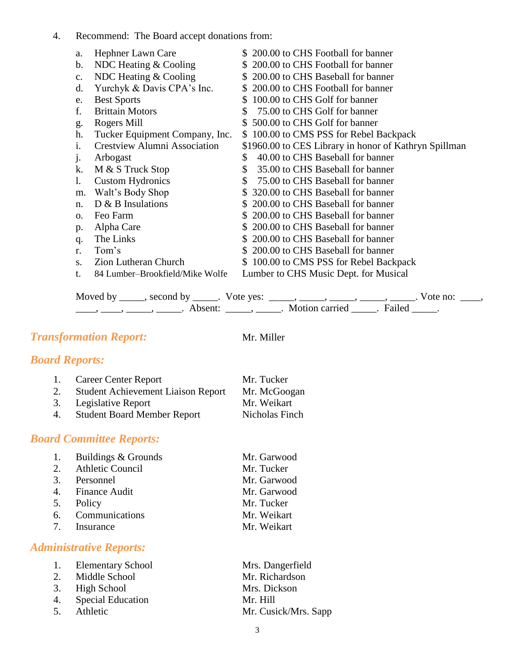4. Recommend: The Board accept donations from:

| a.             | Hephner Lawn Care                   | \$200.00 to CHS Football for banner                   |
|----------------|-------------------------------------|-------------------------------------------------------|
| b.             | NDC Heating $&$ Cooling             | \$200.00 to CHS Football for banner                   |
| $\mathbf{C}$ . | NDC Heating $&$ Cooling             | \$200.00 to CHS Baseball for banner                   |
| d.             | Yurchyk & Davis CPA's Inc.          | \$200.00 to CHS Football for banner                   |
| e.             | <b>Best Sports</b>                  | 100.00 to CHS Golf for banner<br>S.                   |
| f.             | <b>Brittain Motors</b>              | 75.00 to CHS Golf for banner<br>S                     |
| g.             | Rogers Mill                         | 500.00 to CHS Golf for banner                         |
| h.             | Tucker Equipment Company, Inc.      | \$100.00 to CMS PSS for Rebel Backpack                |
| i.             | <b>Crestview Alumni Association</b> | \$1960.00 to CES Library in honor of Kathryn Spillman |
| j.             | Arbogast                            | 40.00 to CHS Baseball for banner<br>\$                |
| k.             | M & S Truck Stop                    | 35.00 to CHS Baseball for banner<br>\$                |
| 1.             | <b>Custom Hydronics</b>             | 75.00 to CHS Baseball for banner<br><sup>\$</sup>     |
| m.             | Walt's Body Shop                    | \$320.00 to CHS Baseball for banner                   |
| n.             | $D \& B$ Insulations                | \$200.00 to CHS Baseball for banner                   |
| 0.             | Feo Farm                            | 200.00 to CHS Baseball for banner<br>S.               |
| p.             | Alpha Care                          | \$200.00 to CHS Baseball for banner                   |
| q.             | The Links                           | \$200.00 to CHS Baseball for banner                   |
| r.             | Tom's                               | \$200.00 to CHS Baseball for banner                   |
| S.             | Zion Lutheran Church                | 100.00 to CMS PSS for Rebel Backpack<br>S.            |
| t.             | 84 Lumber-Brookfield/Mike Wolfe     | Lumber to CHS Music Dept. for Musical                 |

Moved by \_\_\_\_\_, second by \_\_\_\_\_. Vote yes:  $\_\_\_\_\_\_\_\_\_\_\_\_\_\_\_$  \_\_\_\_\_, \_\_\_\_\_, \_\_\_\_\_. Vote no:  $\_\_\_\_\_\_\$ \_\_\_\_, \_\_\_\_\_, \_\_\_\_\_\_, Absent: \_\_\_\_\_, \_\_\_\_\_. Motion carried \_\_\_\_\_. Failed \_\_\_\_\_.

#### **Transformation Report:** Mr. Miller

## *Board Reports:*

| 1. | <b>Career Center Report</b>               | Mr. Tucker     |
|----|-------------------------------------------|----------------|
| 2. | <b>Student Achievement Liaison Report</b> | Mr. McGoogan   |
| 3. | Legislative Report                        | Mr. Weikart    |
| 4. | <b>Student Board Member Report</b>        | Nicholas Finch |

## *Board Committee Reports:*

|   | 1. Buildings & Grounds | Mr. Garwood |
|---|------------------------|-------------|
|   | 2. Athletic Council    | Mr. Tucker  |
|   | 3. Personnel           | Mr. Garwood |
|   | 4. Finance Audit       | Mr. Garwood |
|   | 5. Policy              | Mr. Tucker  |
|   | 6. Communications      | Mr. Weikart |
| 7 | Insurance              | Mr. Weikart |

# *Administrative Reports:*

| 1. Elementary School | Mrs. Dangerfield     |
|----------------------|----------------------|
| 2. Middle School     | Mr. Richardson       |
| 3. High School       | Mrs. Dickson         |
| 4. Special Education | Mr. Hill             |
| 5. Athletic          | Mr. Cusick/Mrs. Sapp |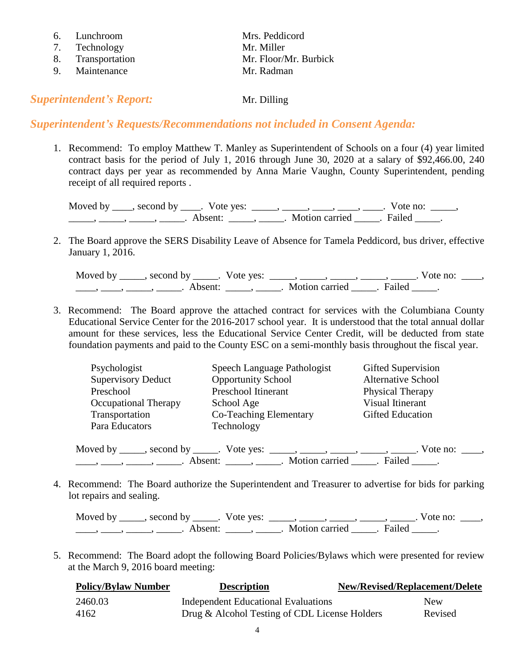|    | 6. Lunchroom      | Mrs. Peddicord        |
|----|-------------------|-----------------------|
|    | 7. Technology     | Mr. Miller            |
|    | 8. Transportation | Mr. Floor/Mr. Burbick |
| Q. | Maintenance       | Mr. Radman            |

#### **Superintendent's Report:** Mr. Dilling

#### *Superintendent's Requests/Recommendations not included in Consent Agenda:*

1. Recommend: To employ Matthew T. Manley as Superintendent of Schools on a four (4) year limited contract basis for the period of July 1, 2016 through June 30, 2020 at a salary of \$92,466.00, 240 contract days per year as recommended by Anna Marie Vaughn, County Superintendent, pending receipt of all required reports .

| Moved by _____, second by _____. Vote yes: |                     |                       | Vote no: |  |
|--------------------------------------------|---------------------|-----------------------|----------|--|
|                                            | Absent <sup>.</sup> | Motion carried Tailed |          |  |

2. The Board approve the SERS Disability Leave of Absence for Tamela Peddicord, bus driver, effective January 1, 2016.

| Moved by second by  | Vote yes: |                       |        | $\sqrt{\circ}$ terms to $\frac{\circ}{\circ}$ |  |
|---------------------|-----------|-----------------------|--------|-----------------------------------------------|--|
| Absent <sup>.</sup> |           | <b>Motion carried</b> | Failed |                                               |  |

3. Recommend: The Board approve the attached contract for services with the Columbiana County Educational Service Center for the 2016-2017 school year. It is understood that the total annual dollar amount for these services, less the Educational Service Center Credit, will be deducted from state foundation payments and paid to the County ESC on a semi-monthly basis throughout the fiscal year.

| Psychologist                | Speech Language Pathologist | Gifted Supervision        |
|-----------------------------|-----------------------------|---------------------------|
| <b>Supervisory Deduct</b>   | <b>Opportunity School</b>   | <b>Alternative School</b> |
| Preschool                   | Preschool Itinerant         | Physical Therapy          |
| <b>Occupational Therapy</b> | School Age                  | Visual Itinerant          |
| Transportation              | Co-Teaching Elementary      | <b>Gifted Education</b>   |
| Para Educators              | Technology                  |                           |
|                             |                             |                           |

Moved by \_\_\_\_\_, second by \_\_\_\_\_. Vote yes:  $\_\_\_\_\_\_\_\_\_\_\_\_\_\_\_\_\_\_\_$  \_\_\_\_, \_\_\_\_, \_\_\_\_. Vote no:  $\_\_\_\_\_\$ \_\_\_\_\_, \_\_\_\_\_\_, \_\_\_\_\_\_\_. Absent: \_\_\_\_\_\_, \_\_\_\_\_\_. Motion carried \_\_\_\_\_\_. Failed \_\_\_\_\_.

4. Recommend: The Board authorize the Superintendent and Treasurer to advertise for bids for parking lot repairs and sealing.

Moved by \_\_\_\_\_, second by \_\_\_\_\_. Vote yes:  $\_\_\_\_\_\_\_\_\_\_\_\_\_\_\_$  \_\_\_\_\_, \_\_\_\_\_, \_\_\_\_\_. Vote no:  $\_\_\_\_\_\_\$ \_\_\_\_\_, \_\_\_\_\_\_, \_\_\_\_\_\_\_. Absent: \_\_\_\_\_\_, \_\_\_\_\_\_. Motion carried \_\_\_\_\_\_. Failed \_\_\_\_\_.

5. Recommend: The Board adopt the following Board Policies/Bylaws which were presented for review at the March 9, 2016 board meeting:

| <b>Policy/Bylaw Number</b> | <b>Description</b>                            | New/Revised/Replacement/Delete |
|----------------------------|-----------------------------------------------|--------------------------------|
| 2460.03                    | Independent Educational Evaluations           | <b>New</b>                     |
| 4162                       | Drug & Alcohol Testing of CDL License Holders | Revised                        |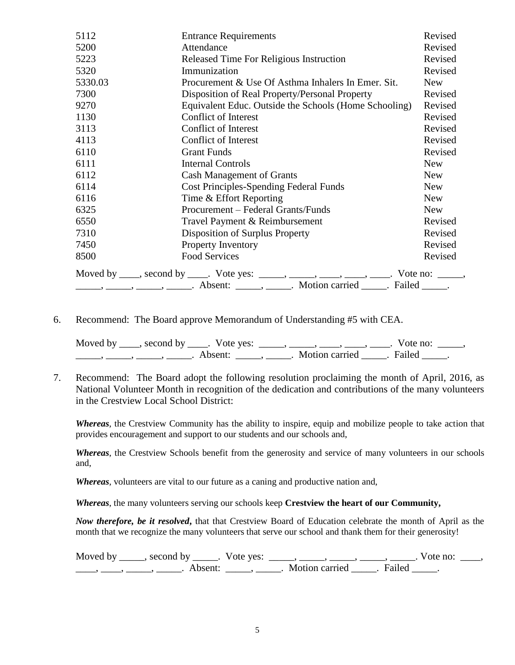| 5112    | <b>Entrance Requirements</b>                                                             | Revised    |
|---------|------------------------------------------------------------------------------------------|------------|
| 5200    | Attendance                                                                               | Revised    |
| 5223    | Released Time For Religious Instruction                                                  | Revised    |
| 5320    | Immunization                                                                             | Revised    |
| 5330.03 | Procurement & Use Of Asthma Inhalers In Emer. Sit.                                       | <b>New</b> |
| 7300    | Disposition of Real Property/Personal Property                                           | Revised    |
| 9270    | Equivalent Educ. Outside the Schools (Home Schooling)                                    | Revised    |
| 1130    | Conflict of Interest                                                                     | Revised    |
| 3113    | Conflict of Interest                                                                     | Revised    |
| 4113    | <b>Conflict of Interest</b>                                                              | Revised    |
| 6110    | <b>Grant Funds</b>                                                                       | Revised    |
| 6111    | <b>Internal Controls</b>                                                                 | <b>New</b> |
| 6112    | <b>Cash Management of Grants</b>                                                         | <b>New</b> |
| 6114    | <b>Cost Principles-Spending Federal Funds</b>                                            | <b>New</b> |
| 6116    | Time & Effort Reporting                                                                  | <b>New</b> |
| 6325    | Procurement - Federal Grants/Funds                                                       | <b>New</b> |
| 6550    | Travel Payment & Reimbursement                                                           | Revised    |
| 7310    | Disposition of Surplus Property                                                          | Revised    |
| 7450    | Property Inventory                                                                       | Revised    |
| 8500    | <b>Food Services</b>                                                                     | Revised    |
|         | Moved by ____, second by _____. Vote yes: _____, ____, ____, ____, ____. Vote no: _____, |            |
|         |                                                                                          |            |

6. Recommend: The Board approve Memorandum of Understanding #5 with CEA.

Moved by  $\_\_\_\_$ , second by  $\_\_\_\_$ . Vote yes:  $\_\_\_\_\_\_\_\_\_\_\_\_\_$ ,  $\_\_\_\_\_\_\_\_\_\_\_\_\_\_\_\_\_\_\_\_\_\_\_$ . Vote no:  $\_\_\_\_\_\_\_\_$ \_\_\_\_\_\_\_, \_\_\_\_\_\_, \_\_\_\_\_\_\_. Absent: \_\_\_\_\_\_, \_\_\_\_\_\_. Motion carried \_\_\_\_\_\_. Failed \_\_\_\_\_.

7. Recommend: The Board adopt the following resolution proclaiming the month of April, 2016, as National Volunteer Month in recognition of the dedication and contributions of the many volunteers in the Crestview Local School District:

*Whereas*, the Crestview Community has the ability to inspire, equip and mobilize people to take action that provides encouragement and support to our students and our schools and,

*Whereas*, the Crestview Schools benefit from the generosity and service of many volunteers in our schools and,

*Whereas*, volunteers are vital to our future as a caning and productive nation and,

*Whereas*, the many volunteers serving our schools keep **Crestview the heart of our Community,**

*Now therefore, be it resolved***,** that that Crestview Board of Education celebrate the month of April as the month that we recognize the many volunteers that serve our school and thank them for their generosity!

Moved by \_\_\_\_\_, second by \_\_\_\_\_. Vote yes:  $\_\_\_\_\_\_\_\_\_\_\_\_\_\_\_$  \_\_\_\_\_, \_\_\_\_\_, \_\_\_\_\_. Vote no:  $\_\_\_\_\_\_\$ \_\_\_\_, \_\_\_\_\_, \_\_\_\_\_\_, Absent: \_\_\_\_\_, \_\_\_\_\_. Motion carried \_\_\_\_\_. Failed \_\_\_\_\_.